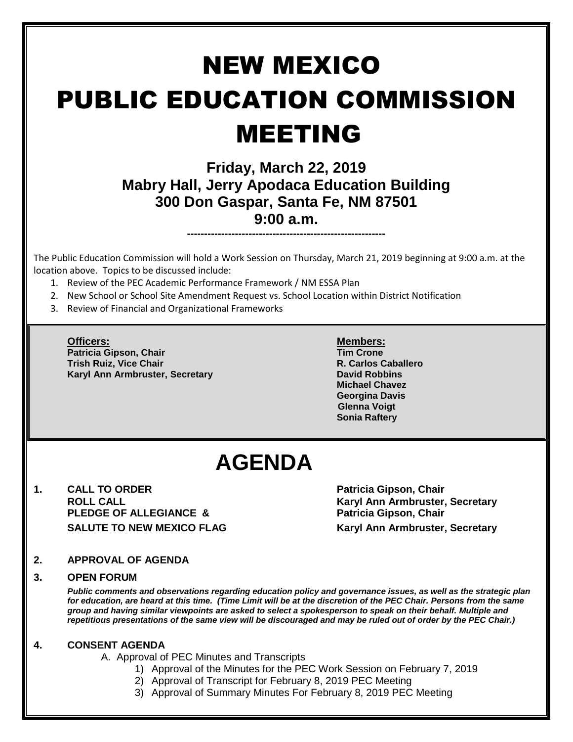# NEW MEXICO PUBLIC EDUCATION COMMISSION MEETING

### **Friday, March 22, 2019 Mabry Hall, Jerry Apodaca Education Building 300 Don Gaspar, Santa Fe, NM 87501 9:00 a.m.**

**----------------------------------------------------------**

The Public Education Commission will hold a Work Session on Thursday, March 21, 2019 beginning at 9:00 a.m. at the location above. Topics to be discussed include:

- 1. Review of the PEC Academic Performance Framework / NM ESSA Plan
- 2. New School or School Site Amendment Request vs. School Location within District Notification
- 3. Review of Financial and Organizational Frameworks

**Officers: Members: Patricia Gipson, Chair Tim Crone Trish Ruiz, Vice Chair R. Carlos Caballero Karyl Ann Armbruster, Secretary <b>David Robbins David Robbins** 

**Michael Chavez Georgina Davis Glenna Voigt Sonia Raftery**

## **AGENDA**

**1. CALL TO ORDER Patricia Gipson, Chair PLEDGE OF ALLEGIANCE & Patricia Gipson, Chair** 

**ROLL CALL Karyl Ann Armbruster, Secretary SALUTE TO NEW MEXICO FLAG Karyl Ann Armbruster, Secretary**

**2. APPROVAL OF AGENDA**

#### **3. OPEN FORUM**

*Public comments and observations regarding education policy and governance issues, as well as the strategic plan for education, are heard at this time. (Time Limit will be at the discretion of the PEC Chair. Persons from the same group and having similar viewpoints are asked to select a spokesperson to speak on their behalf. Multiple and repetitious presentations of the same view will be discouraged and may be ruled out of order by the PEC Chair.)*

#### **4. CONSENT AGENDA**

A. Approval of PEC Minutes and Transcripts

- 1) Approval of the Minutes for the PEC Work Session on February 7, 2019
- 2) Approval of Transcript for February 8, 2019 PEC Meeting
- 3) Approval of Summary Minutes For February 8, 2019 PEC Meeting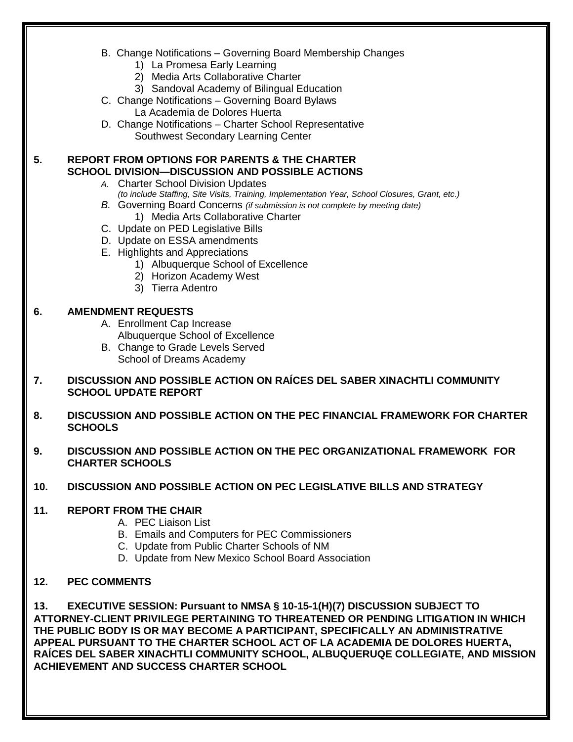- B. Change Notifications Governing Board Membership Changes
	- 1) La Promesa Early Learning
	- 2) Media Arts Collaborative Charter
	- 3) Sandoval Academy of Bilingual Education
- C. Change Notifications Governing Board Bylaws La Academia de Dolores Huerta
- D. Change Notifications Charter School Representative Southwest Secondary Learning Center

#### **5. REPORT FROM OPTIONS FOR PARENTS & THE CHARTER SCHOOL DIVISION—DISCUSSION AND POSSIBLE ACTIONS**

- *A.* Charter School Division Updates *(to include Staffing, Site Visits, Training, Implementation Year, School Closures, Grant, etc.)*
- *B.* Governing Board Concerns *(if submission is not complete by meeting date)*
	- 1) Media Arts Collaborative Charter
- C. Update on PED Legislative Bills
- D. Update on ESSA amendments
- E. Highlights and Appreciations
	- 1) Albuquerque School of Excellence
	- 2) Horizon Academy West
	- 3) Tierra Adentro

#### **6. AMENDMENT REQUESTS**

- A. Enrollment Cap Increase
	- Albuquerque School of Excellence
- B. Change to Grade Levels Served School of Dreams Academy

#### **7. DISCUSSION AND POSSIBLE ACTION ON RAÍCES DEL SABER XINACHTLI COMMUNITY SCHOOL UPDATE REPORT**

- **8. DISCUSSION AND POSSIBLE ACTION ON THE PEC FINANCIAL FRAMEWORK FOR CHARTER SCHOOLS**
- **9. DISCUSSION AND POSSIBLE ACTION ON THE PEC ORGANIZATIONAL FRAMEWORK FOR CHARTER SCHOOLS**
- **10. DISCUSSION AND POSSIBLE ACTION ON PEC LEGISLATIVE BILLS AND STRATEGY**

#### **11. REPORT FROM THE CHAIR**

- A. PEC Liaison List
- B. Emails and Computers for PEC Commissioners
- C. Update from Public Charter Schools of NM
- D. Update from New Mexico School Board Association

#### **12. PEC COMMENTS**

**13. EXECUTIVE SESSION: Pursuant to NMSA § 10-15-1(H)(7) DISCUSSION SUBJECT TO ATTORNEY-CLIENT PRIVILEGE PERTAINING TO THREATENED OR PENDING LITIGATION IN WHICH THE PUBLIC BODY IS OR MAY BECOME A PARTICIPANT, SPECIFICALLY AN ADMINISTRATIVE APPEAL PURSUANT TO THE CHARTER SCHOOL ACT OF LA ACADEMIA DE DOLORES HUERTA, RAÍCES DEL SABER XINACHTLI COMMUNITY SCHOOL, ALBUQUERUQE COLLEGIATE, AND MISSION ACHIEVEMENT AND SUCCESS CHARTER SCHOOL**